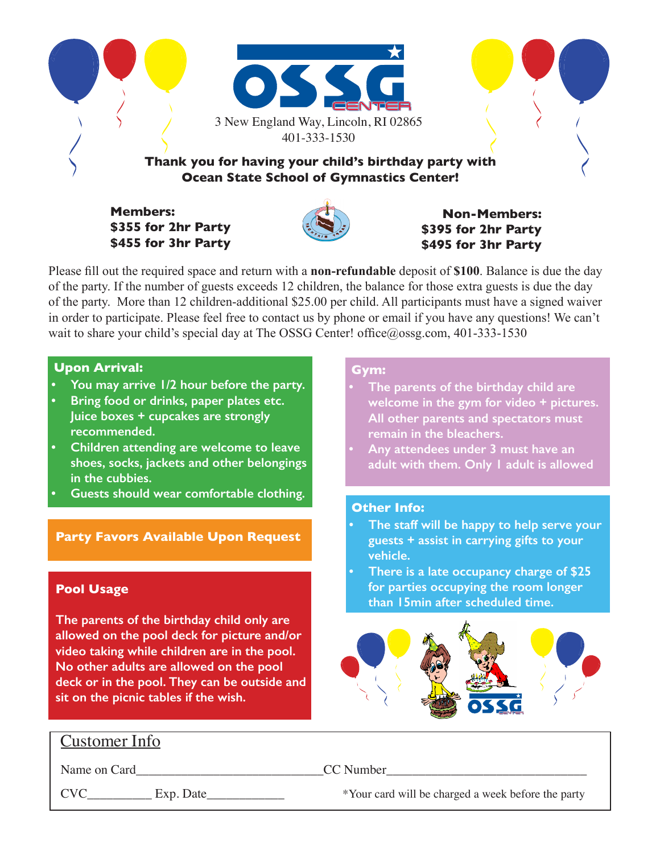

**Members: \$355 for 2hr Party \$455 for 3hr Party**



### **Non-Members: \$395 for 2hr Party \$495 for 3hr Party**

Please fill out the required space and return with a **non-refundable** deposit of **\$100**. Balance is due the day of the party. If the number of guests exceeds 12 children, the balance for those extra guests is due the day of the party. More than 12 children-additional \$25.00 per child. All participants must have a signed waiver in order to participate. Please feel free to contact us by phone or email if you have any questions! We can't wait to share your child's special day at The OSSG Center! office@ossg.com, 401-333-1530

#### **Upon Arrival:**

- **• You may arrive 1/2 hour before the party.**
- **• Bring food or drinks, paper plates etc. Juice boxes + cupcakes are strongly recommended.**
- **• Children attending are welcome to leave shoes, socks, jackets and other belongings in the cubbies.**
- **• Guests should wear comfortable clothing.**

## **Pool Usage**

**The parents of the birthday child only are allowed on the pool deck for picture and/or video taking while children are in the pool. No other adults are allowed on the pool deck or in the pool. They can be outside and sit on the picnic tables if the wish.**

#### **Gym:**

- **• The parents of the birthday child are welcome in the gym for video + pictures. All other parents and spectators must remain in the bleachers.**
- **• Any attendees under 3 must have an adult with them. Only 1 adult is allowed**

#### **Other Info:**

- **Party Favors Available Upon Request •** The staff will be happy to help serve your **Party Favors Available Upon Request guests + assist in carrying gifts to your vehicle.**
	- **• There is a late occupancy charge of \$25 for parties occupying the room longer than 15min after scheduled time.**



# Customer Info

Name on Card CC Number

CVC\_\_\_\_\_\_\_\_\_\_\_\_ Exp. Date\_\_\_\_\_\_\_\_\_\_\_\_\_\_\_\_ \*Your card will be charged a week before the party